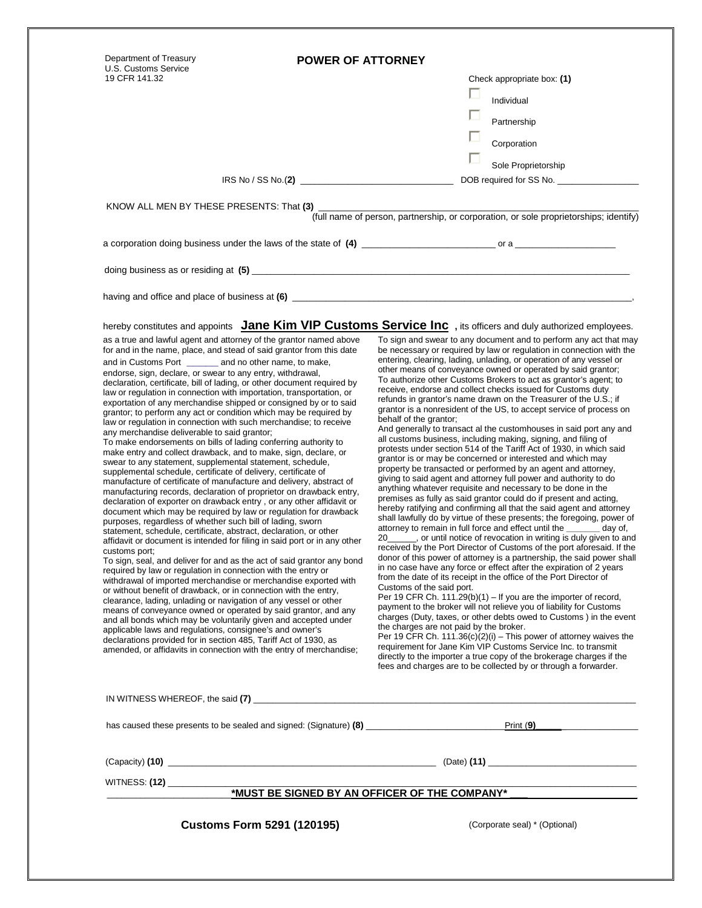| Department of Treasury<br>U.S. Customs Service                                                                                                                                                                                                                                                                                                                                                                                                                                                                                                                                                                                                                                                                                                                                                                                                                                                                                                                                                                                                                                                                                                                                                                                                                                                                                                                                                                                                                                                                                                          | <b>POWER OF ATTORNEY</b>          |                                                                                                                                                                                                                                                                                                                                                                                                                                                                                                                                                                                                                                                                                                                                                                                                                                                                                                                                                                                                                                                                                                                                                                                                                                                                                                                                                                                                                                                                                                                                                                                                                                                                                   |
|---------------------------------------------------------------------------------------------------------------------------------------------------------------------------------------------------------------------------------------------------------------------------------------------------------------------------------------------------------------------------------------------------------------------------------------------------------------------------------------------------------------------------------------------------------------------------------------------------------------------------------------------------------------------------------------------------------------------------------------------------------------------------------------------------------------------------------------------------------------------------------------------------------------------------------------------------------------------------------------------------------------------------------------------------------------------------------------------------------------------------------------------------------------------------------------------------------------------------------------------------------------------------------------------------------------------------------------------------------------------------------------------------------------------------------------------------------------------------------------------------------------------------------------------------------|-----------------------------------|-----------------------------------------------------------------------------------------------------------------------------------------------------------------------------------------------------------------------------------------------------------------------------------------------------------------------------------------------------------------------------------------------------------------------------------------------------------------------------------------------------------------------------------------------------------------------------------------------------------------------------------------------------------------------------------------------------------------------------------------------------------------------------------------------------------------------------------------------------------------------------------------------------------------------------------------------------------------------------------------------------------------------------------------------------------------------------------------------------------------------------------------------------------------------------------------------------------------------------------------------------------------------------------------------------------------------------------------------------------------------------------------------------------------------------------------------------------------------------------------------------------------------------------------------------------------------------------------------------------------------------------------------------------------------------------|
| 19 CFR 141.32                                                                                                                                                                                                                                                                                                                                                                                                                                                                                                                                                                                                                                                                                                                                                                                                                                                                                                                                                                                                                                                                                                                                                                                                                                                                                                                                                                                                                                                                                                                                           |                                   | Check appropriate box: (1)                                                                                                                                                                                                                                                                                                                                                                                                                                                                                                                                                                                                                                                                                                                                                                                                                                                                                                                                                                                                                                                                                                                                                                                                                                                                                                                                                                                                                                                                                                                                                                                                                                                        |
|                                                                                                                                                                                                                                                                                                                                                                                                                                                                                                                                                                                                                                                                                                                                                                                                                                                                                                                                                                                                                                                                                                                                                                                                                                                                                                                                                                                                                                                                                                                                                         |                                   | п<br>Individual                                                                                                                                                                                                                                                                                                                                                                                                                                                                                                                                                                                                                                                                                                                                                                                                                                                                                                                                                                                                                                                                                                                                                                                                                                                                                                                                                                                                                                                                                                                                                                                                                                                                   |
|                                                                                                                                                                                                                                                                                                                                                                                                                                                                                                                                                                                                                                                                                                                                                                                                                                                                                                                                                                                                                                                                                                                                                                                                                                                                                                                                                                                                                                                                                                                                                         |                                   | Partnership                                                                                                                                                                                                                                                                                                                                                                                                                                                                                                                                                                                                                                                                                                                                                                                                                                                                                                                                                                                                                                                                                                                                                                                                                                                                                                                                                                                                                                                                                                                                                                                                                                                                       |
|                                                                                                                                                                                                                                                                                                                                                                                                                                                                                                                                                                                                                                                                                                                                                                                                                                                                                                                                                                                                                                                                                                                                                                                                                                                                                                                                                                                                                                                                                                                                                         |                                   |                                                                                                                                                                                                                                                                                                                                                                                                                                                                                                                                                                                                                                                                                                                                                                                                                                                                                                                                                                                                                                                                                                                                                                                                                                                                                                                                                                                                                                                                                                                                                                                                                                                                                   |
|                                                                                                                                                                                                                                                                                                                                                                                                                                                                                                                                                                                                                                                                                                                                                                                                                                                                                                                                                                                                                                                                                                                                                                                                                                                                                                                                                                                                                                                                                                                                                         |                                   | Corporation                                                                                                                                                                                                                                                                                                                                                                                                                                                                                                                                                                                                                                                                                                                                                                                                                                                                                                                                                                                                                                                                                                                                                                                                                                                                                                                                                                                                                                                                                                                                                                                                                                                                       |
|                                                                                                                                                                                                                                                                                                                                                                                                                                                                                                                                                                                                                                                                                                                                                                                                                                                                                                                                                                                                                                                                                                                                                                                                                                                                                                                                                                                                                                                                                                                                                         |                                   | Sole Proprietorship                                                                                                                                                                                                                                                                                                                                                                                                                                                                                                                                                                                                                                                                                                                                                                                                                                                                                                                                                                                                                                                                                                                                                                                                                                                                                                                                                                                                                                                                                                                                                                                                                                                               |
|                                                                                                                                                                                                                                                                                                                                                                                                                                                                                                                                                                                                                                                                                                                                                                                                                                                                                                                                                                                                                                                                                                                                                                                                                                                                                                                                                                                                                                                                                                                                                         |                                   | DOB required for SS No.                                                                                                                                                                                                                                                                                                                                                                                                                                                                                                                                                                                                                                                                                                                                                                                                                                                                                                                                                                                                                                                                                                                                                                                                                                                                                                                                                                                                                                                                                                                                                                                                                                                           |
| KNOW ALL MEN BY THESE PRESENTS: That (3) _______                                                                                                                                                                                                                                                                                                                                                                                                                                                                                                                                                                                                                                                                                                                                                                                                                                                                                                                                                                                                                                                                                                                                                                                                                                                                                                                                                                                                                                                                                                        |                                   |                                                                                                                                                                                                                                                                                                                                                                                                                                                                                                                                                                                                                                                                                                                                                                                                                                                                                                                                                                                                                                                                                                                                                                                                                                                                                                                                                                                                                                                                                                                                                                                                                                                                                   |
|                                                                                                                                                                                                                                                                                                                                                                                                                                                                                                                                                                                                                                                                                                                                                                                                                                                                                                                                                                                                                                                                                                                                                                                                                                                                                                                                                                                                                                                                                                                                                         |                                   |                                                                                                                                                                                                                                                                                                                                                                                                                                                                                                                                                                                                                                                                                                                                                                                                                                                                                                                                                                                                                                                                                                                                                                                                                                                                                                                                                                                                                                                                                                                                                                                                                                                                                   |
|                                                                                                                                                                                                                                                                                                                                                                                                                                                                                                                                                                                                                                                                                                                                                                                                                                                                                                                                                                                                                                                                                                                                                                                                                                                                                                                                                                                                                                                                                                                                                         |                                   | doing business as or residing at (5) <u>contained and contained and contained and contained and contained and contained and contained and contained and contained and contained and contained and contained and contained and co</u>                                                                                                                                                                                                                                                                                                                                                                                                                                                                                                                                                                                                                                                                                                                                                                                                                                                                                                                                                                                                                                                                                                                                                                                                                                                                                                                                                                                                                                              |
|                                                                                                                                                                                                                                                                                                                                                                                                                                                                                                                                                                                                                                                                                                                                                                                                                                                                                                                                                                                                                                                                                                                                                                                                                                                                                                                                                                                                                                                                                                                                                         |                                   |                                                                                                                                                                                                                                                                                                                                                                                                                                                                                                                                                                                                                                                                                                                                                                                                                                                                                                                                                                                                                                                                                                                                                                                                                                                                                                                                                                                                                                                                                                                                                                                                                                                                                   |
|                                                                                                                                                                                                                                                                                                                                                                                                                                                                                                                                                                                                                                                                                                                                                                                                                                                                                                                                                                                                                                                                                                                                                                                                                                                                                                                                                                                                                                                                                                                                                         |                                   |                                                                                                                                                                                                                                                                                                                                                                                                                                                                                                                                                                                                                                                                                                                                                                                                                                                                                                                                                                                                                                                                                                                                                                                                                                                                                                                                                                                                                                                                                                                                                                                                                                                                                   |
|                                                                                                                                                                                                                                                                                                                                                                                                                                                                                                                                                                                                                                                                                                                                                                                                                                                                                                                                                                                                                                                                                                                                                                                                                                                                                                                                                                                                                                                                                                                                                         |                                   | hereby constitutes and appoints Jane Kim VIP Customs Service Inc , its officers and duly authorized employees.                                                                                                                                                                                                                                                                                                                                                                                                                                                                                                                                                                                                                                                                                                                                                                                                                                                                                                                                                                                                                                                                                                                                                                                                                                                                                                                                                                                                                                                                                                                                                                    |
| as a true and lawful agent and attorney of the grantor named above<br>for and in the name, place, and stead of said grantor from this date<br>and in Customs Port and no other name, to make,<br>endorse, sign, declare, or swear to any entry, withdrawal,<br>declaration, certificate, bill of lading, or other document required by<br>law or regulation in connection with importation, transportation, or<br>exportation of any merchandise shipped or consigned by or to said<br>grantor; to perform any act or condition which may be required by<br>law or regulation in connection with such merchandise; to receive<br>any merchandise deliverable to said grantor;<br>To make endorsements on bills of lading conferring authority to<br>make entry and collect drawback, and to make, sign, declare, or<br>swear to any statement, supplemental statement, schedule,<br>supplemental schedule, certificate of delivery, certificate of<br>manufacture of certificate of manufacture and delivery, abstract of<br>manufacturing records, declaration of proprietor on drawback entry,<br>declaration of exporter on drawback entry, or any other affidavit or<br>document which may be required by law or regulation for drawback<br>purposes, regardless of whether such bill of lading, sworn<br>statement, schedule, certificate, abstract, declaration, or other<br>affidavit or document is intended for filing in said port or in any other<br>customs port;<br>To sign, seal, and deliver for and as the act of said grantor any bond |                                   | To sign and swear to any document and to perform any act that may<br>be necessary or required by law or regulation in connection with the<br>entering, clearing, lading, unlading, or operation of any vessel or<br>other means of conveyance owned or operated by said grantor;<br>To authorize other Customs Brokers to act as grantor's agent; to<br>receive, endorse and collect checks issued for Customs duty<br>refunds in grantor's name drawn on the Treasurer of the U.S.; if<br>grantor is a nonresident of the US, to accept service of process on<br>behalf of the grantor;<br>And generally to transact al the customhouses in said port any and<br>all customs business, including making, signing, and filing of<br>protests under section 514 of the Tariff Act of 1930, in which said<br>grantor is or may be concerned or interested and which may<br>property be transacted or performed by an agent and attorney,<br>giving to said agent and attorney full power and authority to do<br>anything whatever requisite and necessary to be done in the<br>premises as fully as said grantor could do if present and acting,<br>hereby ratifying and confirming all that the said agent and attorney<br>shall lawfully do by virtue of these presents; the foregoing, power of<br>attorney to remain in full force and effect until the _________ day of,<br>20______, or until notice of revocation in writing is duly given to and<br>received by the Port Director of Customs of the port aforesaid. If the<br>donor of this power of attorney is a partnership, the said power shall<br>in no case have any force or effect after the expiration of 2 years |
| required by law or regulation in connection with the entry or<br>withdrawal of imported merchandise or merchandise exported with<br>or without benefit of drawback, or in connection with the entry,<br>clearance, lading, unlading or navigation of any vessel or other<br>means of conveyance owned or operated by said grantor, and any<br>and all bonds which may be voluntarily given and accepted under<br>applicable laws and regulations, consignee's and owner's<br>declarations provided for in section 485, Tariff Act of 1930, as<br>amended, or affidavits in connection with the entry of merchandise;                                                                                                                                                                                                                                                                                                                                                                                                                                                                                                                                                                                                                                                                                                                                                                                                                                                                                                                                    |                                   | from the date of its receipt in the office of the Port Director of<br>Customs of the said port.<br>Per 19 CFR Ch. 111.29(b)(1) – If you are the importer of record,<br>payment to the broker will not relieve you of liability for Customs<br>charges (Duty, taxes, or other debts owed to Customs) in the event<br>the charges are not paid by the broker.<br>Per 19 CFR Ch. 111.36(c)(2)(i) – This power of attorney waives the<br>requirement for Jane Kim VIP Customs Service Inc. to transmit<br>directly to the importer a true copy of the brokerage charges if the<br>fees and charges are to be collected by or through a forwarder.                                                                                                                                                                                                                                                                                                                                                                                                                                                                                                                                                                                                                                                                                                                                                                                                                                                                                                                                                                                                                                     |
|                                                                                                                                                                                                                                                                                                                                                                                                                                                                                                                                                                                                                                                                                                                                                                                                                                                                                                                                                                                                                                                                                                                                                                                                                                                                                                                                                                                                                                                                                                                                                         |                                   |                                                                                                                                                                                                                                                                                                                                                                                                                                                                                                                                                                                                                                                                                                                                                                                                                                                                                                                                                                                                                                                                                                                                                                                                                                                                                                                                                                                                                                                                                                                                                                                                                                                                                   |
|                                                                                                                                                                                                                                                                                                                                                                                                                                                                                                                                                                                                                                                                                                                                                                                                                                                                                                                                                                                                                                                                                                                                                                                                                                                                                                                                                                                                                                                                                                                                                         |                                   |                                                                                                                                                                                                                                                                                                                                                                                                                                                                                                                                                                                                                                                                                                                                                                                                                                                                                                                                                                                                                                                                                                                                                                                                                                                                                                                                                                                                                                                                                                                                                                                                                                                                                   |
|                                                                                                                                                                                                                                                                                                                                                                                                                                                                                                                                                                                                                                                                                                                                                                                                                                                                                                                                                                                                                                                                                                                                                                                                                                                                                                                                                                                                                                                                                                                                                         |                                   |                                                                                                                                                                                                                                                                                                                                                                                                                                                                                                                                                                                                                                                                                                                                                                                                                                                                                                                                                                                                                                                                                                                                                                                                                                                                                                                                                                                                                                                                                                                                                                                                                                                                                   |
| WITNESS: (12) _____________                                                                                                                                                                                                                                                                                                                                                                                                                                                                                                                                                                                                                                                                                                                                                                                                                                                                                                                                                                                                                                                                                                                                                                                                                                                                                                                                                                                                                                                                                                                             |                                   |                                                                                                                                                                                                                                                                                                                                                                                                                                                                                                                                                                                                                                                                                                                                                                                                                                                                                                                                                                                                                                                                                                                                                                                                                                                                                                                                                                                                                                                                                                                                                                                                                                                                                   |
|                                                                                                                                                                                                                                                                                                                                                                                                                                                                                                                                                                                                                                                                                                                                                                                                                                                                                                                                                                                                                                                                                                                                                                                                                                                                                                                                                                                                                                                                                                                                                         |                                   | <u>*MUST BE SIGNED BY AN OFFICER OF THE COMPANY*</u>                                                                                                                                                                                                                                                                                                                                                                                                                                                                                                                                                                                                                                                                                                                                                                                                                                                                                                                                                                                                                                                                                                                                                                                                                                                                                                                                                                                                                                                                                                                                                                                                                              |
|                                                                                                                                                                                                                                                                                                                                                                                                                                                                                                                                                                                                                                                                                                                                                                                                                                                                                                                                                                                                                                                                                                                                                                                                                                                                                                                                                                                                                                                                                                                                                         | <b>Customs Form 5291 (120195)</b> | (Corporate seal) * (Optional)                                                                                                                                                                                                                                                                                                                                                                                                                                                                                                                                                                                                                                                                                                                                                                                                                                                                                                                                                                                                                                                                                                                                                                                                                                                                                                                                                                                                                                                                                                                                                                                                                                                     |